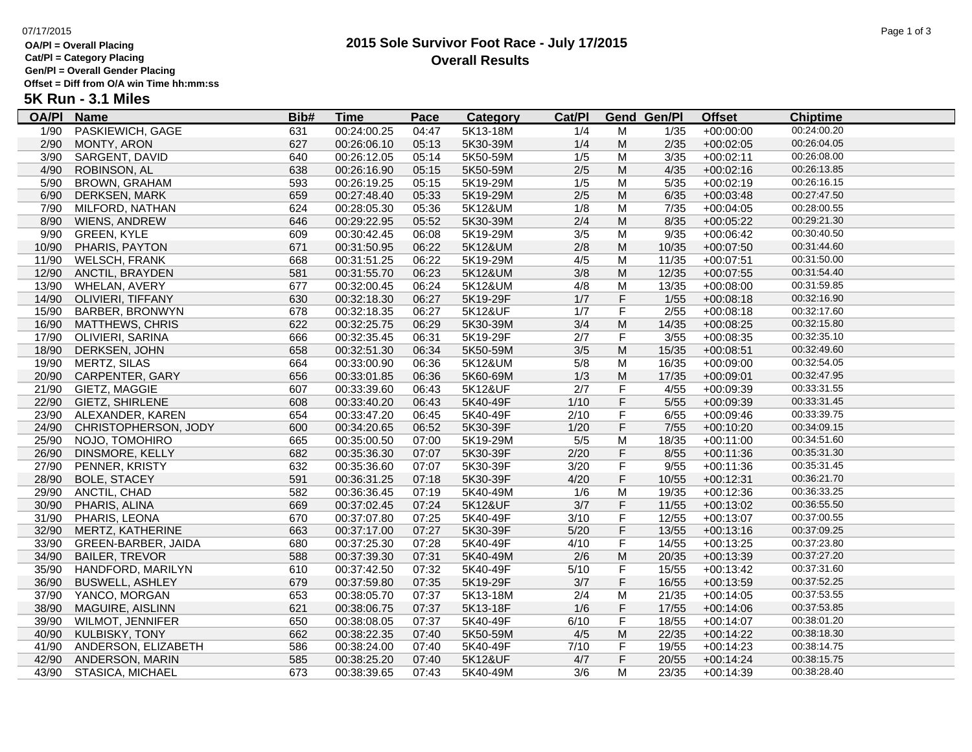## **OA/Pl = Overall Placing**

**Cat/Pl = Category Placing**

**Gen/Pl = Overall Gender Placing**

**Offset = Diff from O/A win Time hh:mm:ss**

# **5K Run - 3.1 Miles**

| <b>OA/PI</b> | <b>Name</b>                | Bib# | <b>Time</b> | Pace  | <b>Category</b> | Cat/PI |                         | <b>Gend Gen/Pl</b> | <b>Offset</b> | <b>Chiptime</b> |
|--------------|----------------------------|------|-------------|-------|-----------------|--------|-------------------------|--------------------|---------------|-----------------|
| 1/90         | PASKIEWICH, GAGE           | 631  | 00:24:00.25 | 04:47 | 5K13-18M        | 1/4    | м                       | 1/35               | $+00:00:00$   | 00:24:00.20     |
| 2/90         | MONTY, ARON                | 627  | 00:26:06.10 | 05:13 | 5K30-39M        | 1/4    | M                       | 2/35               | $+00:02:05$   | 00:26:04.05     |
| 3/90         | SARGENT, DAVID             | 640  | 00:26:12.05 | 05:14 | 5K50-59M        | 1/5    | M                       | 3/35               | $+00:02:11$   | 00:26:08.00     |
| 4/90         | ROBINSON, AL               | 638  | 00:26:16.90 | 05:15 | 5K50-59M        | $2/5$  | ${\sf M}$               | 4/35               | $+00:02:16$   | 00:26:13.85     |
| 5/90         | <b>BROWN, GRAHAM</b>       | 593  | 00:26:19.25 | 05:15 | 5K19-29M        | 1/5    | M                       | 5/35               | $+00:02:19$   | 00:26:16.15     |
| 6/90         | DERKSEN, MARK              | 659  | 00:27:48.40 | 05:33 | 5K19-29M        | $2/5$  | M                       | 6/35               | $+00:03:48$   | 00:27:47.50     |
| 7/90         | MILFORD, NATHAN            | 624  | 00:28:05.30 | 05:36 | 5K12&UM         | 1/8    | M                       | $7/35$             | $+00:04:05$   | 00:28:00.55     |
| 8/90         | WIENS, ANDREW              | 646  | 00:29:22.95 | 05:52 | 5K30-39M        | 2/4    | ${\sf M}$               | 8/35               | $+00:05:22$   | 00:29:21.30     |
| 9/90         | <b>GREEN, KYLE</b>         | 609  | 00:30:42.45 | 06:08 | 5K19-29M        | 3/5    | M                       | 9/35               | $+00:06:42$   | 00:30:40.50     |
| 10/90        | PHARIS, PAYTON             | 671  | 00:31:50.95 | 06:22 | 5K12&UM         | $2/8$  | M                       | 10/35              | $+00:07:50$   | 00:31:44.60     |
| 11/90        | <b>WELSCH, FRANK</b>       | 668  | 00:31:51.25 | 06:22 | 5K19-29M        | 4/5    | M                       | 11/35              | $+00:07:51$   | 00:31:50.00     |
| 12/90        | ANCTIL, BRAYDEN            | 581  | 00:31:55.70 | 06:23 | 5K12&UM         | 3/8    | M                       | 12/35              | $+00:07:55$   | 00:31:54.40     |
| 13/90        | WHELAN, AVERY              | 677  | 00:32:00.45 | 06:24 | 5K12&UM         | 4/8    | M                       | 13/35              | $+00:08:00$   | 00:31:59.85     |
|              | 14/90 OLIVIERI, TIFFANY    | 630  | 00:32:18.30 | 06:27 | 5K19-29F        | 1/7    | F                       | 1/55               | $+00:08:18$   | 00:32:16.90     |
| 15/90        | <b>BARBER, BRONWYN</b>     | 678  | 00:32:18.35 | 06:27 | 5K12&UF         | 1/7    | F                       | $2/55$             | $+00:08:18$   | 00:32:17.60     |
| 16/90        | <b>MATTHEWS, CHRIS</b>     | 622  | 00:32:25.75 | 06:29 | 5K30-39M        | 3/4    | M                       | 14/35              | $+00:08:25$   | 00:32:15.80     |
| 17/90        | OLIVIERI, SARINA           | 666  | 00:32:35.45 | 06:31 | 5K19-29F        | 2/7    | $\mathsf F$             | 3/55               | $+00:08:35$   | 00:32:35.10     |
| 18/90        | DERKSEN, JOHN              | 658  | 00:32:51.30 | 06:34 | 5K50-59M        | 3/5    | M                       | 15/35              | $+00:08:51$   | 00:32:49.60     |
| 19/90        | MERTZ, SILAS               | 664  | 00:33:00.90 | 06:36 | 5K12&UM         | 5/8    | M                       | 16/35              | $+00:09:00$   | 00:32:54.05     |
|              | 20/90 CARPENTER, GARY      | 656  | 00:33:01.85 | 06:36 | 5K60-69M        | 1/3    | M                       | 17/35              | $+00:09:01$   | 00:32:47.95     |
| 21/90        | GIETZ, MAGGIE              | 607  | 00:33:39.60 | 06:43 | 5K12&UF         | 2/7    | F                       | 4/55               | +00:09:39     | 00:33:31.55     |
|              | 22/90 GIETZ, SHIRLENE      | 608  | 00:33:40.20 | 06:43 | 5K40-49F        | 1/10   | F                       | 5/55               | $+00:09:39$   | 00:33:31.45     |
| 23/90        | ALEXANDER, KAREN           | 654  | 00:33:47.20 | 06:45 | 5K40-49F        | 2/10   | $\mathsf F$             | 6/55               | $+00:09:46$   | 00:33:39.75     |
|              | 24/90 CHRISTOPHERSON, JODY | 600  | 00:34:20.65 | 06:52 | 5K30-39F        | 1/20   | F                       | $7/55$             | $+00:10:20$   | 00:34:09.15     |
| 25/90        | NOJO, TOMOHIRO             | 665  | 00:35:00.50 | 07:00 | 5K19-29M        | 5/5    | M                       | 18/35              | $+00:11:00$   | 00:34:51.60     |
| 26/90        | DINSMORE, KELLY            | 682  | 00:35:36.30 | 07:07 | 5K30-39F        | 2/20   | F                       | 8/55               | $+00:11:36$   | 00:35:31.30     |
| 27/90        | PENNER, KRISTY             | 632  | 00:35:36.60 | 07:07 | 5K30-39F        | 3/20   | $\overline{\mathsf{F}}$ | 9/55               | $+00:11:36$   | 00:35:31.45     |
| 28/90        | <b>BOLE, STACEY</b>        | 591  | 00:36:31.25 | 07:18 | 5K30-39F        | 4/20   | F                       | 10/55              | $+00:12:31$   | 00:36:21.70     |
| 29/90        | ANCTIL, CHAD               | 582  | 00:36:36.45 | 07:19 | 5K40-49M        | 1/6    | M                       | 19/35              | $+00:12:36$   | 00:36:33.25     |
| 30/90        | PHARIS, ALINA              | 669  | 00:37:02.45 | 07:24 | 5K12&UF         | 3/7    | F                       | 11/55              | $+00:13:02$   | 00:36:55.50     |
| 31/90        | PHARIS, LEONA              | 670  | 00:37:07.80 | 07:25 | 5K40-49F        | 3/10   | F                       | 12/55              | $+00:13:07$   | 00:37:00.55     |
| 32/90        | MERTZ, KATHERINE           | 663  | 00:37:17.00 | 07:27 | 5K30-39F        | 5/20   | F                       | 13/55              | $+00:13:16$   | 00:37:09.25     |
| 33/90        | GREEN-BARBER, JAIDA        | 680  | 00:37:25.30 | 07:28 | 5K40-49F        | 4/10   | F                       | 14/55              | $+00:13:25$   | 00:37:23.80     |
| 34/90        | <b>BAILER, TREVOR</b>      | 588  | 00:37:39.30 | 07:31 | 5K40-49M        | 2/6    | M                       | 20/35              | $+00:13:39$   | 00:37:27.20     |
| 35/90        | HANDFORD, MARILYN          | 610  | 00:37:42.50 | 07:32 | 5K40-49F        | 5/10   | $\mathsf F$             | 15/55              | $+00:13:42$   | 00:37:31.60     |
| 36/90        | <b>BUSWELL, ASHLEY</b>     | 679  | 00:37:59.80 | 07:35 | 5K19-29F        | 3/7    | F                       | 16/55              | $+00:13:59$   | 00:37:52.25     |
|              | 37/90 YANCO, MORGAN        | 653  | 00:38:05.70 | 07:37 | 5K13-18M        | 2/4    | M                       | 21/35              | $+00:14:05$   | 00:37:53.55     |
| 38/90        | MAGUIRE, AISLINN           | 621  | 00:38:06.75 | 07:37 | 5K13-18F        | 1/6    | F                       | 17/55              | $+00:14:06$   | 00:37:53.85     |
| 39/90        | <b>WILMOT, JENNIFER</b>    | 650  | 00:38:08.05 | 07:37 | 5K40-49F        | 6/10   | F                       | 18/55              | $+00:14:07$   | 00:38:01.20     |
| 40/90        | <b>KULBISKY, TONY</b>      | 662  | 00:38:22.35 | 07:40 | 5K50-59M        | 4/5    | M                       | 22/35              | $+00:14:22$   | 00:38:18.30     |
| 41/90        | ANDERSON, ELIZABETH        | 586  | 00:38:24.00 | 07:40 | 5K40-49F        | 7/10   | F                       | 19/55              | $+00:14:23$   | 00:38:14.75     |
| 42/90        | ANDERSON, MARIN            | 585  | 00:38:25.20 | 07:40 | 5K12&UF         | 4/7    | F                       | 20/55              | $+00:14:24$   | 00:38:15.75     |
| 43/90        | STASICA, MICHAEL           | 673  | 00:38:39.65 | 07:43 | 5K40-49M        | 3/6    | M                       | 23/35              | $+00:14:39$   | 00:38:28.40     |

#### **2015 Sole Survivor Foot Race - July 17/2015** 07/17/2015 Page 1 of 3 **Overall Results**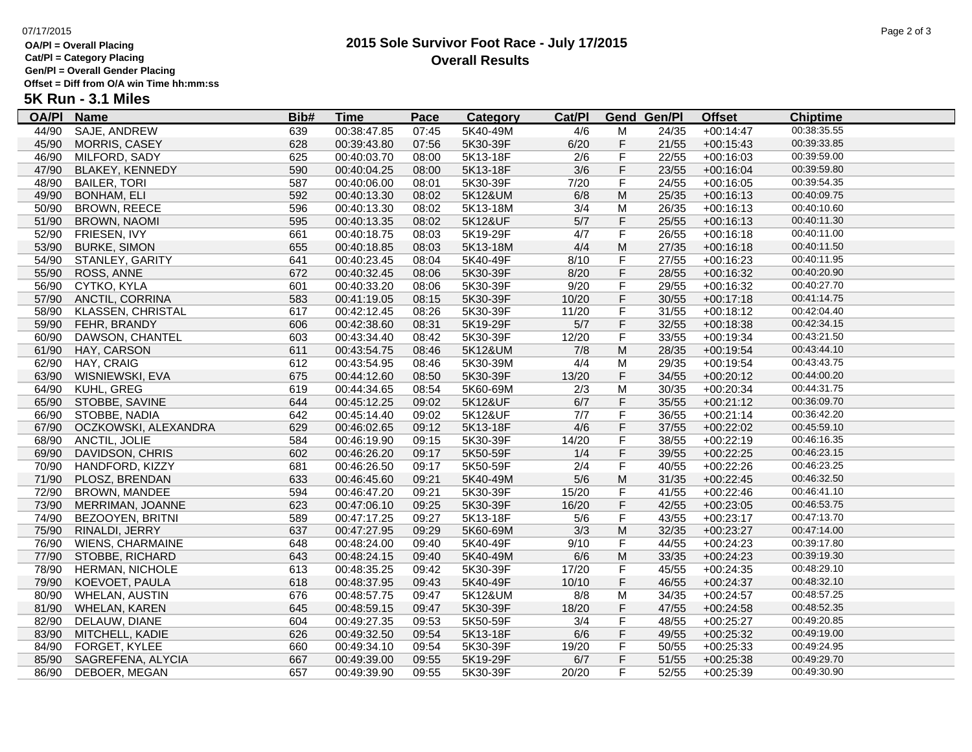### **OA/Pl = Overall Placing**

**Cat/Pl = Category Placing**

### **Gen/Pl = Overall Gender Placing**

**Offset = Diff from O/A win Time hh:mm:ss**

# **5K Run - 3.1 Miles**

| <b>OA/PI</b> | <b>Name</b>              | Bib# | <u>Time</u> | Pace  | <b>Category</b> | Cat/Pl |                | <b>Gend Gen/Pl</b> | <b>Offset</b> | <b>Chiptime</b> |
|--------------|--------------------------|------|-------------|-------|-----------------|--------|----------------|--------------------|---------------|-----------------|
| 44/90        | SAJE, ANDREW             | 639  | 00:38:47.85 | 07:45 | 5K40-49M        | 4/6    | M              | 24/35              | $+00:14:47$   | 00:38:35.55     |
| 45/90        | MORRIS, CASEY            | 628  | 00:39:43.80 | 07:56 | 5K30-39F        | 6/20   | F              | 21/55              | $+00:15:43$   | 00:39:33.85     |
| 46/90        | MILFORD, SADY            | 625  | 00:40:03.70 | 08:00 | 5K13-18F        | 2/6    | F              | 22/55              | $+00:16:03$   | 00:39:59.00     |
| 47/90        | BLAKEY, KENNEDY          | 590  | 00:40:04.25 | 08:00 | 5K13-18F        | 3/6    | F.             | 23/55              | $+00:16:04$   | 00:39:59.80     |
| 48/90        | <b>BAILER, TORI</b>      | 587  | 00:40:06.00 | 08:01 | 5K30-39F        | 7/20   | F              | 24/55              | $+00:16:05$   | 00:39:54.35     |
| 49/90        | <b>BONHAM, ELI</b>       | 592  | 00:40:13.30 | 08:02 | 5K12&UM         | 6/8    | M              | 25/35              | $+00:16:13$   | 00:40:09.75     |
| 50/90        | <b>BROWN, REECE</b>      | 596  | 00:40:13.30 | 08:02 | 5K13-18M        | 3/4    | M              | 26/35              | $+00:16:13$   | 00:40:10.60     |
| 51/90        | <b>BROWN, NAOMI</b>      | 595  | 00:40:13.35 | 08:02 | 5K12&UF         | $5/7$  | F              | 25/55              | $+00:16:13$   | 00:40:11.30     |
| 52/90        | FRIESEN, IVY             | 661  | 00:40:18.75 | 08:03 | 5K19-29F        | 4/7    | F              | 26/55              | $+00:16:18$   | 00:40:11.00     |
| 53/90        | <b>BURKE, SIMON</b>      | 655  | 00:40:18.85 | 08:03 | 5K13-18M        | 4/4    | M              | 27/35              | $+00:16:18$   | 00:40:11.50     |
| 54/90        | STANLEY, GARITY          | 641  | 00:40:23.45 | 08:04 | 5K40-49F        | 8/10   | F              | 27/55              | $+00:16:23$   | 00:40:11.95     |
| 55/90        | ROSS, ANNE               | 672  | 00:40:32.45 | 08:06 | 5K30-39F        | 8/20   | $\mathsf F$    | 28/55              | $+00:16:32$   | 00:40:20.90     |
| 56/90        | CYTKO, KYLA              | 601  | 00:40:33.20 | 08:06 | 5K30-39F        | 9/20   | F              | 29/55              | $+00:16:32$   | 00:40:27.70     |
| 57/90        | ANCTIL, CORRINA          | 583  | 00:41:19.05 | 08:15 | 5K30-39F        | 10/20  | F              | 30/55              | $+00:17:18$   | 00:41:14.75     |
| 58/90        | <b>KLASSEN, CHRISTAL</b> | 617  | 00:42:12.45 | 08:26 | 5K30-39F        | 11/20  | F              | 31/55              | $+00:18:12$   | 00:42:04.40     |
| 59/90        | FEHR, BRANDY             | 606  | 00:42:38.60 | 08:31 | 5K19-29F        | 5/7    | $\mathsf F$    | 32/55              | $+00:18:38$   | 00:42:34.15     |
| 60/90        | DAWSON, CHANTEL          | 603  | 00:43:34.40 | 08:42 | 5K30-39F        | 12/20  | F              | 33/55              | $+00:19:34$   | 00:43:21.50     |
| 61/90        | HAY, CARSON              | 611  | 00:43:54.75 | 08:46 | 5K12&UM         | 7/8    | M              | 28/35              | $+00:19:54$   | 00:43:44.10     |
| 62/90        | HAY, CRAIG               | 612  | 00:43:54.95 | 08:46 | 5K30-39M        | 4/4    | M              | 29/35              | $+00:19:54$   | 00:43:43.75     |
| 63/90        | WISNIEWSKI, EVA          | 675  | 00:44:12.60 | 08:50 | 5K30-39F        | 13/20  | F              | 34/55              | $+00:20:12$   | 00:44:00.20     |
| 64/90        | KUHL, GREG               | 619  | 00:44:34.65 | 08:54 | 5K60-69M        | 2/3    | M              | 30/35              | $+00:20:34$   | 00:44:31.75     |
|              | 65/90 STOBBE, SAVINE     | 644  | 00:45:12.25 | 09:02 | 5K12&UF         | 6/7    | F              | 35/55              | $+00:21:12$   | 00:36:09.70     |
| 66/90        | STOBBE, NADIA            | 642  | 00:45:14.40 | 09:02 | 5K12&UF         | 7/7    | F              | 36/55              | $+00:21:14$   | 00:36:42.20     |
| 67/90        | OCZKOWSKI, ALEXANDRA     | 629  | 00:46:02.65 | 09:12 | 5K13-18F        | 4/6    | F              | 37/55              | $+00:22:02$   | 00:45:59.10     |
| 68/90        | ANCTIL, JOLIE            | 584  | 00:46:19.90 | 09:15 | 5K30-39F        | 14/20  | F              | 38/55              | $+00:22:19$   | 00:46:16.35     |
| 69/90        | DAVIDSON, CHRIS          | 602  | 00:46:26.20 | 09:17 | 5K50-59F        | 1/4    | $\mathsf F$    | 39/55              | $+00:22:25$   | 00:46:23.15     |
| 70/90        | HANDFORD, KIZZY          | 681  | 00:46:26.50 | 09:17 | 5K50-59F        | 2/4    | F              | 40/55              | $+00:22:26$   | 00:46:23.25     |
| 71/90        | PLOSZ, BRENDAN           | 633  | 00:46:45.60 | 09:21 | 5K40-49M        | 5/6    | M              | 31/35              | $+00:22:45$   | 00:46:32.50     |
| 72/90        | <b>BROWN, MANDEE</b>     | 594  | 00:46:47.20 | 09:21 | 5K30-39F        | 15/20  | F              | 41/55              | $+00:22:46$   | 00:46:41.10     |
| 73/90        | MERRIMAN, JOANNE         | 623  | 00:47:06.10 | 09:25 | 5K30-39F        | 16/20  | $\mathsf F$    | 42/55              | $+00:23:05$   | 00:46:53.75     |
| 74/90        | BEZOOYEN, BRITNI         | 589  | 00:47:17.25 | 09:27 | 5K13-18F        | 5/6    | F              | 43/55              | $+00:23:17$   | 00:47:13.70     |
| 75/90        | RINALDI, JERRY           | 637  | 00:47:27.95 | 09:29 | 5K60-69M        | 3/3    | M              | 32/35              | $+00:23:27$   | 00:47:14.00     |
| 76/90        | <b>WIENS, CHARMAINE</b>  | 648  | 00:48:24.00 | 09:40 | 5K40-49F        | 9/10   | F              | 44/55              | $+00:24:23$   | 00:39:17.80     |
| 77/90        | STOBBE, RICHARD          | 643  | 00:48:24.15 | 09:40 | 5K40-49M        | 6/6    | M              | 33/35              | $+00:24:23$   | 00:39:19.30     |
| 78/90        | <b>HERMAN, NICHOLE</b>   | 613  | 00:48:35.25 | 09:42 | 5K30-39F        | 17/20  | F              | 45/55              | $+00:24:35$   | 00:48:29.10     |
| 79/90        | KOEVOET, PAULA           | 618  | 00:48:37.95 | 09:43 | 5K40-49F        | 10/10  | F              | 46/55              | $+00:24:37$   | 00:48:32.10     |
| 80/90        | <b>WHELAN, AUSTIN</b>    | 676  | 00:48:57.75 | 09:47 | 5K12&UM         | 8/8    | М              | 34/35              | $+00:24:57$   | 00:48:57.25     |
| 81/90        | <b>WHELAN, KAREN</b>     | 645  | 00:48:59.15 | 09:47 | 5K30-39F        | 18/20  | F.             | 47/55              | $+00:24:58$   | 00:48:52.35     |
| 82/90        | DELAUW, DIANE            | 604  | 00:49:27.35 | 09:53 | 5K50-59F        | 3/4    | $\overline{F}$ | 48/55              | $+00:25:27$   | 00:49:20.85     |
| 83/90        | MITCHELL, KADIE          | 626  | 00:49:32.50 | 09:54 | 5K13-18F        | 6/6    | $\mathsf F$    | 49/55              | $+00:25:32$   | 00:49:19.00     |
| 84/90        | FORGET, KYLEE            | 660  | 00:49:34.10 | 09:54 | 5K30-39F        | 19/20  | F              | 50/55              | $+00:25:33$   | 00:49:24.95     |
| 85/90        | SAGREFENA, ALYCIA        | 667  | 00:49:39.00 | 09:55 | 5K19-29F        | 6/7    | F              | 51/55              | $+00:25:38$   | 00:49:29.70     |
| 86/90        | DEBOER, MEGAN            | 657  | 00:49:39.90 | 09:55 | 5K30-39F        | 20/20  | F              | 52/55              | $+00:25:39$   | 00:49:30.90     |
|              |                          |      |             |       |                 |        |                |                    |               |                 |

#### **2015 Sole Survivor Foot Race - July 17/2015** 07/17/2015 Page 2 of 3 **Overall Results**